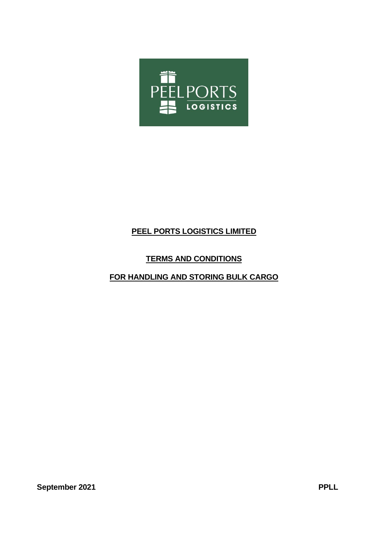

# **PEEL PORTS LOGISTICS LIMITED**

# **TERMS AND CONDITIONS**

# **FOR HANDLING AND STORING BULK CARGO**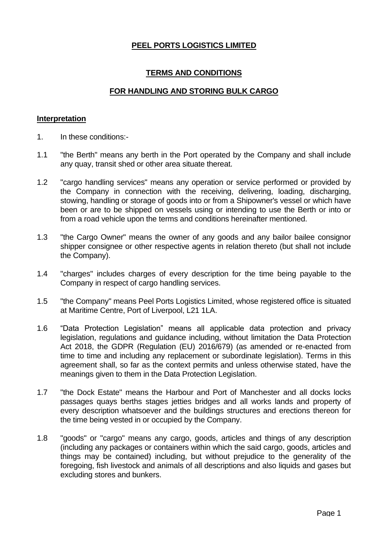# **PEEL PORTS LOGISTICS LIMITED**

# **TERMS AND CONDITIONS**

# **FOR HANDLING AND STORING BULK CARGO**

#### **Interpretation**

- 1. In these conditions:-
- 1.1 "the Berth" means any berth in the Port operated by the Company and shall include any quay, transit shed or other area situate thereat.
- 1.2 "cargo handling services" means any operation or service performed or provided by the Company in connection with the receiving, delivering, loading, discharging, stowing, handling or storage of goods into or from a Shipowner's vessel or which have been or are to be shipped on vessels using or intending to use the Berth or into or from a road vehicle upon the terms and conditions hereinafter mentioned.
- 1.3 "the Cargo Owner" means the owner of any goods and any bailor bailee consignor shipper consignee or other respective agents in relation thereto (but shall not include the Company).
- 1.4 "charges" includes charges of every description for the time being payable to the Company in respect of cargo handling services.
- 1.5 "the Company" means Peel Ports Logistics Limited, whose registered office is situated at Maritime Centre, Port of Liverpool, L21 1LA.
- 1.6 "Data Protection Legislation" means all applicable data protection and privacy legislation, regulations and guidance including, without limitation the Data Protection Act 2018, the GDPR (Regulation (EU) 2016/679) (as amended or re-enacted from time to time and including any replacement or subordinate legislation). Terms in this agreement shall, so far as the context permits and unless otherwise stated, have the meanings given to them in the Data Protection Legislation.
- 1.7 "the Dock Estate" means the Harbour and Port of Manchester and all docks locks passages quays berths stages jetties bridges and all works lands and property of every description whatsoever and the buildings structures and erections thereon for the time being vested in or occupied by the Company.
- 1.8 "goods" or "cargo" means any cargo, goods, articles and things of any description (including any packages or containers within which the said cargo, goods, articles and things may be contained) including, but without prejudice to the generality of the foregoing, fish livestock and animals of all descriptions and also liquids and gases but excluding stores and bunkers.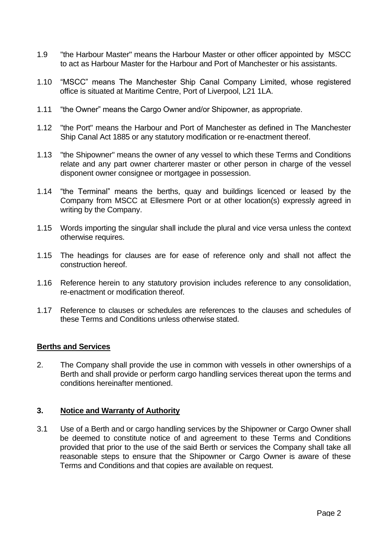- 1.9 "the Harbour Master" means the Harbour Master or other officer appointed by MSCC to act as Harbour Master for the Harbour and Port of Manchester or his assistants.
- 1.10 "MSCC" means The Manchester Ship Canal Company Limited, whose registered office is situated at Maritime Centre, Port of Liverpool, L21 1LA.
- 1.11 "the Owner" means the Cargo Owner and/or Shipowner, as appropriate.
- 1.12 "the Port" means the Harbour and Port of Manchester as defined in The Manchester Ship Canal Act 1885 or any statutory modification or re-enactment thereof.
- 1.13 "the Shipowner" means the owner of any vessel to which these Terms and Conditions relate and any part owner charterer master or other person in charge of the vessel disponent owner consignee or mortgagee in possession.
- 1.14 "the Terminal" means the berths, quay and buildings licenced or leased by the Company from MSCC at Ellesmere Port or at other location(s) expressly agreed in writing by the Company.
- 1.15 Words importing the singular shall include the plural and vice versa unless the context otherwise requires.
- 1.15 The headings for clauses are for ease of reference only and shall not affect the construction hereof.
- 1.16 Reference herein to any statutory provision includes reference to any consolidation, re-enactment or modification thereof.
- 1.17 Reference to clauses or schedules are references to the clauses and schedules of these Terms and Conditions unless otherwise stated.

#### **Berths and Services**

2. The Company shall provide the use in common with vessels in other ownerships of a Berth and shall provide or perform cargo handling services thereat upon the terms and conditions hereinafter mentioned.

## **3. Notice and Warranty of Authority**

3.1 Use of a Berth and or cargo handling services by the Shipowner or Cargo Owner shall be deemed to constitute notice of and agreement to these Terms and Conditions provided that prior to the use of the said Berth or services the Company shall take all reasonable steps to ensure that the Shipowner or Cargo Owner is aware of these Terms and Conditions and that copies are available on request.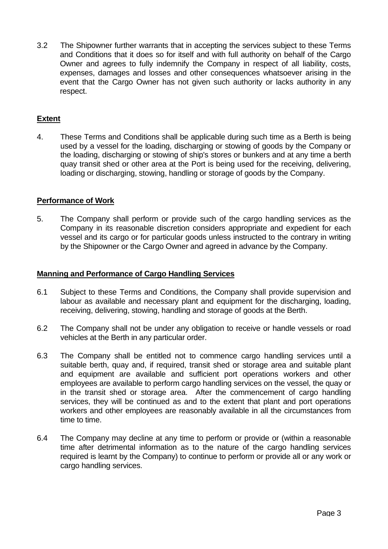3.2 The Shipowner further warrants that in accepting the services subject to these Terms and Conditions that it does so for itself and with full authority on behalf of the Cargo Owner and agrees to fully indemnify the Company in respect of all liability, costs, expenses, damages and losses and other consequences whatsoever arising in the event that the Cargo Owner has not given such authority or lacks authority in any respect.

# **Extent**

4. These Terms and Conditions shall be applicable during such time as a Berth is being used by a vessel for the loading, discharging or stowing of goods by the Company or the loading, discharging or stowing of ship's stores or bunkers and at any time a berth quay transit shed or other area at the Port is being used for the receiving, delivering, loading or discharging, stowing, handling or storage of goods by the Company.

### **Performance of Work**

5. The Company shall perform or provide such of the cargo handling services as the Company in its reasonable discretion considers appropriate and expedient for each vessel and its cargo or for particular goods unless instructed to the contrary in writing by the Shipowner or the Cargo Owner and agreed in advance by the Company.

#### **Manning and Performance of Cargo Handling Services**

- 6.1 Subject to these Terms and Conditions, the Company shall provide supervision and labour as available and necessary plant and equipment for the discharging, loading, receiving, delivering, stowing, handling and storage of goods at the Berth.
- 6.2 The Company shall not be under any obligation to receive or handle vessels or road vehicles at the Berth in any particular order.
- 6.3 The Company shall be entitled not to commence cargo handling services until a suitable berth, quay and, if required, transit shed or storage area and suitable plant and equipment are available and sufficient port operations workers and other employees are available to perform cargo handling services on the vessel, the quay or in the transit shed or storage area. After the commencement of cargo handling services, they will be continued as and to the extent that plant and port operations workers and other employees are reasonably available in all the circumstances from time to time.
- 6.4 The Company may decline at any time to perform or provide or (within a reasonable time after detrimental information as to the nature of the cargo handling services required is learnt by the Company) to continue to perform or provide all or any work or cargo handling services.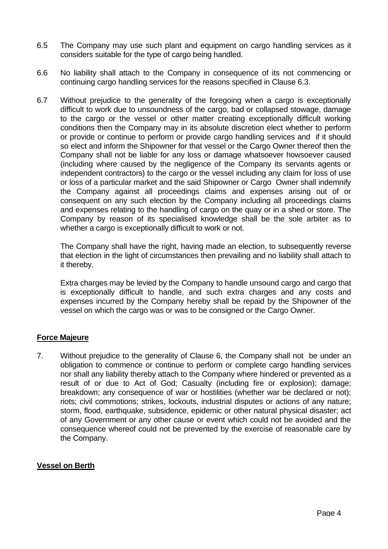- 6.5 The Company may use such plant and equipment on cargo handling services as it considers suitable for the type of cargo being handled.
- 6.6 No liability shall attach to the Company in consequence of its not commencing or continuing cargo handling services for the reasons specified in Clause 6.3.
- 6.7 Without prejudice to the generality of the foregoing when a cargo is exceptionally difficult to work due to unsoundness of the cargo, bad or collapsed stowage, damage to the cargo or the vessel or other matter creating exceptionally difficult working conditions then the Company may in its absolute discretion elect whether to perform or provide or continue to perform or provide cargo handling services and if it should so elect and inform the Shipowner for that vessel or the Cargo Owner thereof then the Company shall not be liable for any loss or damage whatsoever howsoever caused (including where caused by the negligence of the Company its servants agents or independent contractors) to the cargo or the vessel including any claim for loss of use or loss of a particular market and the said Shipowner or Cargo Owner shall indemnify the Company against all proceedings claims and expenses arising out of or consequent on any such election by the Company including all proceedings claims and expenses relating to the handling of cargo on the quay or in a shed or store. The Company by reason of its specialised knowledge shall be the sole arbiter as to whether a cargo is exceptionally difficult to work or not.

The Company shall have the right, having made an election, to subsequently reverse that election in the light of circumstances then prevailing and no liability shall attach to it thereby.

Extra charges may be levied by the Company to handle unsound cargo and cargo that is exceptionally difficult to handle, and such extra charges and any costs and expenses incurred by the Company hereby shall be repaid by the Shipowner of the vessel on which the cargo was or was to be consigned or the Cargo Owner.

# **Force Majeure**

7. Without prejudice to the generality of Clause 6, the Company shall not be under an obligation to commence or continue to perform or complete cargo handling services nor shall any liability thereby attach to the Company where hindered or prevented as a result of or due to Act of God; Casualty (including fire or explosion); damage; breakdown; any consequence of war or hostilities (whether war be declared or not); riots; civil commotions; strikes, lockouts, industrial disputes or actions of any nature; storm, flood, earthquake, subsidence, epidemic or other natural physical disaster; act of any Government or any other cause or event which could not be avoided and the consequence whereof could not be prevented by the exercise of reasonable care by the Company.

# **Vessel on Berth**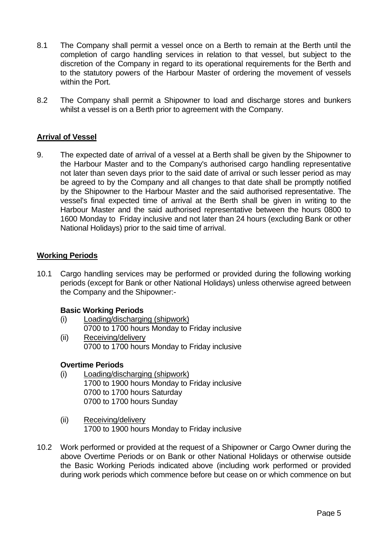- 8.1 The Company shall permit a vessel once on a Berth to remain at the Berth until the completion of cargo handling services in relation to that vessel, but subject to the discretion of the Company in regard to its operational requirements for the Berth and to the statutory powers of the Harbour Master of ordering the movement of vessels within the Port.
- 8.2 The Company shall permit a Shipowner to load and discharge stores and bunkers whilst a vessel is on a Berth prior to agreement with the Company.

# **Arrival of Vessel**

9. The expected date of arrival of a vessel at a Berth shall be given by the Shipowner to the Harbour Master and to the Company's authorised cargo handling representative not later than seven days prior to the said date of arrival or such lesser period as may be agreed to by the Company and all changes to that date shall be promptly notified by the Shipowner to the Harbour Master and the said authorised representative. The vessel's final expected time of arrival at the Berth shall be given in writing to the Harbour Master and the said authorised representative between the hours 0800 to 1600 Monday to Friday inclusive and not later than 24 hours (excluding Bank or other National Holidays) prior to the said time of arrival.

### **Working Periods**

10.1 Cargo handling services may be performed or provided during the following working periods (except for Bank or other National Holidays) unless otherwise agreed between the Company and the Shipowner:-

# **Basic Working Periods**

- (i) Loading/discharging (shipwork) 0700 to 1700 hours Monday to Friday inclusive (ii) Receiving/delivery
	- 0700 to 1700 hours Monday to Friday inclusive

# **Overtime Periods**

- (i) Loading/discharging (shipwork) 1700 to 1900 hours Monday to Friday inclusive 0700 to 1700 hours Saturday 0700 to 1700 hours Sunday
- (ii) Receiving/delivery 1700 to 1900 hours Monday to Friday inclusive
- 10.2 Work performed or provided at the request of a Shipowner or Cargo Owner during the above Overtime Periods or on Bank or other National Holidays or otherwise outside the Basic Working Periods indicated above (including work performed or provided during work periods which commence before but cease on or which commence on but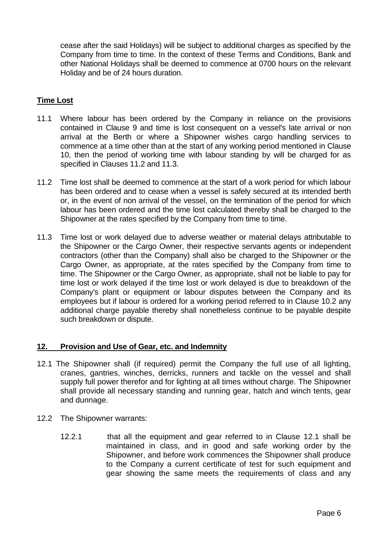cease after the said Holidays) will be subject to additional charges as specified by the Company from time to time. In the context of these Terms and Conditions, Bank and other National Holidays shall be deemed to commence at 0700 hours on the relevant Holiday and be of 24 hours duration.

# **Time Lost**

- 11.1 Where labour has been ordered by the Company in reliance on the provisions contained in Clause 9 and time is lost consequent on a vessel's late arrival or non arrival at the Berth or where a Shipowner wishes cargo handling services to commence at a time other than at the start of any working period mentioned in Clause 10, then the period of working time with labour standing by will be charged for as specified in Clauses 11.2 and 11.3.
- 11.2 Time lost shall be deemed to commence at the start of a work period for which labour has been ordered and to cease when a vessel is safely secured at its intended berth or, in the event of non arrival of the vessel, on the termination of the period for which labour has been ordered and the time lost calculated thereby shall be charged to the Shipowner at the rates specified by the Company from time to time.
- 11.3 Time lost or work delayed due to adverse weather or material delays attributable to the Shipowner or the Cargo Owner, their respective servants agents or independent contractors (other than the Company) shall also be charged to the Shipowner or the Cargo Owner, as appropriate, at the rates specified by the Company from time to time. The Shipowner or the Cargo Owner, as appropriate, shall not be liable to pay for time lost or work delayed if the time lost or work delayed is due to breakdown of the Company's plant or equipment or labour disputes between the Company and its employees but if labour is ordered for a working period referred to in Clause 10.2 any additional charge payable thereby shall nonetheless continue to be payable despite such breakdown or dispute.

# **12. Provision and Use of Gear, etc. and Indemnity**

- 12.1 The Shipowner shall (if required) permit the Company the full use of all lighting, cranes, gantries, winches, derricks, runners and tackle on the vessel and shall supply full power therefor and for lighting at all times without charge. The Shipowner shall provide all necessary standing and running gear, hatch and winch tents, gear and dunnage.
- 12.2 The Shipowner warrants:
	- 12.2.1 that all the equipment and gear referred to in Clause 12.1 shall be maintained in class, and in good and safe working order by the Shipowner, and before work commences the Shipowner shall produce to the Company a current certificate of test for such equipment and gear showing the same meets the requirements of class and any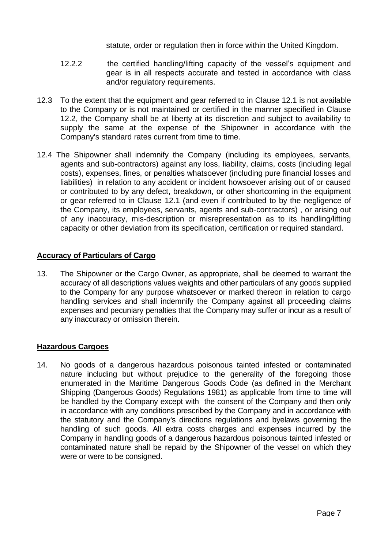statute, order or regulation then in force within the United Kingdom.

- 12.2.2 the certified handling/lifting capacity of the vessel's equipment and gear is in all respects accurate and tested in accordance with class and/or regulatory requirements.
- 12.3 To the extent that the equipment and gear referred to in Clause 12.1 is not available to the Company or is not maintained or certified in the manner specified in Clause 12.2, the Company shall be at liberty at its discretion and subject to availability to supply the same at the expense of the Shipowner in accordance with the Company's standard rates current from time to time.
- 12.4 The Shipowner shall indemnify the Company (including its employees, servants, agents and sub-contractors) against any loss, liability, claims, costs (including legal costs), expenses, fines, or penalties whatsoever (including pure financial losses and liabilities) in relation to any accident or incident howsoever arising out of or caused or contributed to by any defect, breakdown, or other shortcoming in the equipment or gear referred to in Clause 12.1 (and even if contributed to by the negligence of the Company, its employees, servants, agents and sub-contractors) , or arising out of any inaccuracy, mis-description or misrepresentation as to its handling/lifting capacity or other deviation from its specification, certification or required standard.

# **Accuracy of Particulars of Cargo**

13. The Shipowner or the Cargo Owner, as appropriate, shall be deemed to warrant the accuracy of all descriptions values weights and other particulars of any goods supplied to the Company for any purpose whatsoever or marked thereon in relation to cargo handling services and shall indemnify the Company against all proceeding claims expenses and pecuniary penalties that the Company may suffer or incur as a result of any inaccuracy or omission therein.

## **Hazardous Cargoes**

14. No goods of a dangerous hazardous poisonous tainted infested or contaminated nature including but without prejudice to the generality of the foregoing those enumerated in the Maritime Dangerous Goods Code (as defined in the Merchant Shipping (Dangerous Goods) Regulations 1981) as applicable from time to time will be handled by the Company except with the consent of the Company and then only in accordance with any conditions prescribed by the Company and in accordance with the statutory and the Company's directions regulations and byelaws governing the handling of such goods. All extra costs charges and expenses incurred by the Company in handling goods of a dangerous hazardous poisonous tainted infested or contaminated nature shall be repaid by the Shipowner of the vessel on which they were or were to be consigned.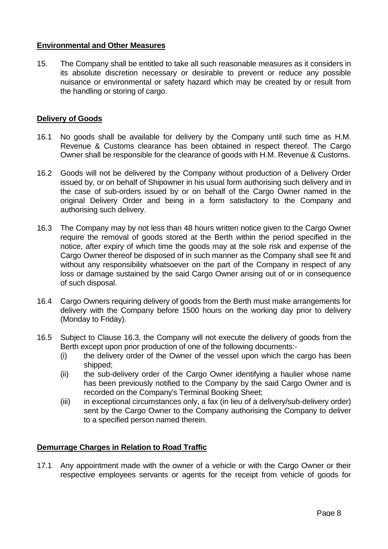# **Environmental and Other Measures**

15. The Company shall be entitled to take all such reasonable measures as it considers in its absolute discretion necessary or desirable to prevent or reduce any possible nuisance or environmental or safety hazard which may be created by or result from the handling or storing of cargo.

# **Delivery of Goods**

- 16.1 No goods shall be available for delivery by the Company until such time as H.M. Revenue & Customs clearance has been obtained in respect thereof. The Cargo Owner shall be responsible for the clearance of goods with H.M. Revenue & Customs.
- 16.2 Goods will not be delivered by the Company without production of a Delivery Order issued by, or on behalf of Shipowner in his usual form authorising such delivery and in the case of sub-orders issued by or on behalf of the Cargo Owner named in the original Delivery Order and being in a form satisfactory to the Company and authorising such delivery.
- 16.3 The Company may by not less than 48 hours written notice given to the Cargo Owner require the removal of goods stored at the Berth within the period specified in the notice, after expiry of which time the goods may at the sole risk and expense of the Cargo Owner thereof be disposed of in such manner as the Company shall see fit and without any responsibility whatsoever on the part of the Company in respect of any loss or damage sustained by the said Cargo Owner arising out of or in consequence of such disposal.
- 16.4 Cargo Owners requiring delivery of goods from the Berth must make arrangements for delivery with the Company before 1500 hours on the working day prior to delivery (Monday to Friday).
- 16.5 Subject to Clause 16.3, the Company will not execute the delivery of goods from the Berth except upon prior production of one of the following documents:-
	- (i) the delivery order of the Owner of the vessel upon which the cargo has been shipped;
	- (ii) the sub-delivery order of the Cargo Owner identifying a haulier whose name has been previously notified to the Company by the said Cargo Owner and is recorded on the Company's Terminal Booking Sheet;
	- (iii) in exceptional circumstances only, a fax (in lieu of a delivery/sub-delivery order) sent by the Cargo Owner to the Company authorising the Company to deliver to a specified person named therein.

# **Demurrage Charges in Relation to Road Traffic**

17.1 Any appointment made with the owner of a vehicle or with the Cargo Owner or their respective employees servants or agents for the receipt from vehicle of goods for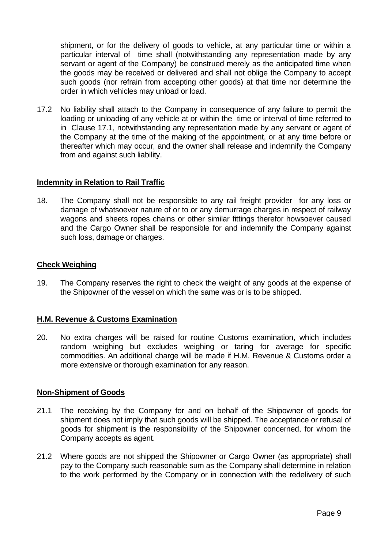shipment, or for the delivery of goods to vehicle, at any particular time or within a particular interval of time shall (notwithstanding any representation made by any servant or agent of the Company) be construed merely as the anticipated time when the goods may be received or delivered and shall not oblige the Company to accept such goods (nor refrain from accepting other goods) at that time nor determine the order in which vehicles may unload or load.

17.2 No liability shall attach to the Company in consequence of any failure to permit the loading or unloading of any vehicle at or within the time or interval of time referred to in Clause 17.1, notwithstanding any representation made by any servant or agent of the Company at the time of the making of the appointment, or at any time before or thereafter which may occur, and the owner shall release and indemnify the Company from and against such liability.

### **Indemnity in Relation to Rail Traffic**

18. The Company shall not be responsible to any rail freight provider for any loss or damage of whatsoever nature of or to or any demurrage charges in respect of railway wagons and sheets ropes chains or other similar fittings therefor howsoever caused and the Cargo Owner shall be responsible for and indemnify the Company against such loss, damage or charges.

### **Check Weighing**

19. The Company reserves the right to check the weight of any goods at the expense of the Shipowner of the vessel on which the same was or is to be shipped.

# **H.M. Revenue & Customs Examination**

20. No extra charges will be raised for routine Customs examination, which includes random weighing but excludes weighing or taring for average for specific commodities. An additional charge will be made if H.M. Revenue & Customs order a more extensive or thorough examination for any reason.

#### **Non-Shipment of Goods**

- 21.1 The receiving by the Company for and on behalf of the Shipowner of goods for shipment does not imply that such goods will be shipped. The acceptance or refusal of goods for shipment is the responsibility of the Shipowner concerned, for whom the Company accepts as agent.
- 21.2 Where goods are not shipped the Shipowner or Cargo Owner (as appropriate) shall pay to the Company such reasonable sum as the Company shall determine in relation to the work performed by the Company or in connection with the redelivery of such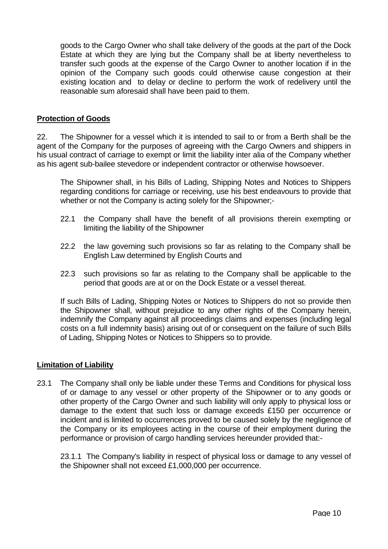goods to the Cargo Owner who shall take delivery of the goods at the part of the Dock Estate at which they are lying but the Company shall be at liberty nevertheless to transfer such goods at the expense of the Cargo Owner to another location if in the opinion of the Company such goods could otherwise cause congestion at their existing location and to delay or decline to perform the work of redelivery until the reasonable sum aforesaid shall have been paid to them.

# **Protection of Goods**

22. The Shipowner for a vessel which it is intended to sail to or from a Berth shall be the agent of the Company for the purposes of agreeing with the Cargo Owners and shippers in his usual contract of carriage to exempt or limit the liability inter alia of the Company whether as his agent sub-bailee stevedore or independent contractor or otherwise howsoever.

The Shipowner shall, in his Bills of Lading, Shipping Notes and Notices to Shippers regarding conditions for carriage or receiving, use his best endeavours to provide that whether or not the Company is acting solely for the Shipowner;-

- 22.1 the Company shall have the benefit of all provisions therein exempting or limiting the liability of the Shipowner
- 22.2 the law governing such provisions so far as relating to the Company shall be English Law determined by English Courts and
- 22.3 such provisions so far as relating to the Company shall be applicable to the period that goods are at or on the Dock Estate or a vessel thereat.

If such Bills of Lading, Shipping Notes or Notices to Shippers do not so provide then the Shipowner shall, without prejudice to any other rights of the Company herein, indemnify the Company against all proceedings claims and expenses (including legal costs on a full indemnity basis) arising out of or consequent on the failure of such Bills of Lading, Shipping Notes or Notices to Shippers so to provide.

#### **Limitation of Liability**

23.1 The Company shall only be liable under these Terms and Conditions for physical loss of or damage to any vessel or other property of the Shipowner or to any goods or other property of the Cargo Owner and such liability will only apply to physical loss or damage to the extent that such loss or damage exceeds £150 per occurrence or incident and is limited to occurrences proved to be caused solely by the negligence of the Company or its employees acting in the course of their employment during the performance or provision of cargo handling services hereunder provided that:-

23.1.1 The Company's liability in respect of physical loss or damage to any vessel of the Shipowner shall not exceed £1,000,000 per occurrence.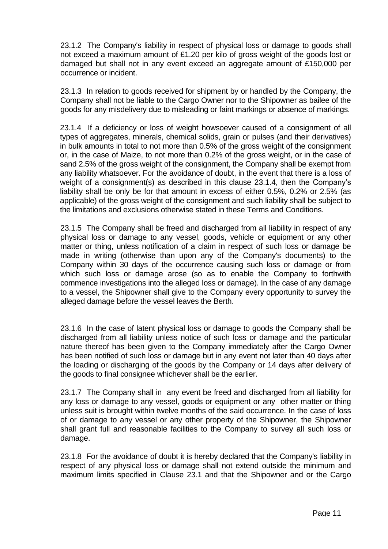23.1.2 The Company's liability in respect of physical loss or damage to goods shall not exceed a maximum amount of £1.20 per kilo of gross weight of the goods lost or damaged but shall not in any event exceed an aggregate amount of £150,000 per occurrence or incident.

23.1.3 In relation to goods received for shipment by or handled by the Company, the Company shall not be liable to the Cargo Owner nor to the Shipowner as bailee of the goods for any misdelivery due to misleading or faint markings or absence of markings.

23.1.4 If a deficiency or loss of weight howsoever caused of a consignment of all types of aggregates, minerals, chemical solids, grain or pulses (and their derivatives) in bulk amounts in total to not more than 0.5% of the gross weight of the consignment or, in the case of Maize, to not more than 0.2% of the gross weight, or in the case of sand 2.5% of the gross weight of the consignment, the Company shall be exempt from any liability whatsoever. For the avoidance of doubt, in the event that there is a loss of weight of a consignment(s) as described in this clause 23.1.4, then the Company's liability shall be only be for that amount in excess of either 0.5%, 0.2% or 2.5% (as applicable) of the gross weight of the consignment and such liability shall be subject to the limitations and exclusions otherwise stated in these Terms and Conditions.

23.1.5 The Company shall be freed and discharged from all liability in respect of any physical loss or damage to any vessel, goods, vehicle or equipment or any other matter or thing, unless notification of a claim in respect of such loss or damage be made in writing (otherwise than upon any of the Company's documents) to the Company within 30 days of the occurrence causing such loss or damage or from which such loss or damage arose (so as to enable the Company to forthwith commence investigations into the alleged loss or damage). In the case of any damage to a vessel, the Shipowner shall give to the Company every opportunity to survey the alleged damage before the vessel leaves the Berth.

23.1.6 In the case of latent physical loss or damage to goods the Company shall be discharged from all liability unless notice of such loss or damage and the particular nature thereof has been given to the Company immediately after the Cargo Owner has been notified of such loss or damage but in any event not later than 40 days after the loading or discharging of the goods by the Company or 14 days after delivery of the goods to final consignee whichever shall be the earlier.

23.1.7 The Company shall in any event be freed and discharged from all liability for any loss or damage to any vessel, goods or equipment or any other matter or thing unless suit is brought within twelve months of the said occurrence. In the case of loss of or damage to any vessel or any other property of the Shipowner, the Shipowner shall grant full and reasonable facilities to the Company to survey all such loss or damage.

23.1.8 For the avoidance of doubt it is hereby declared that the Company's liability in respect of any physical loss or damage shall not extend outside the minimum and maximum limits specified in Clause 23.1 and that the Shipowner and or the Cargo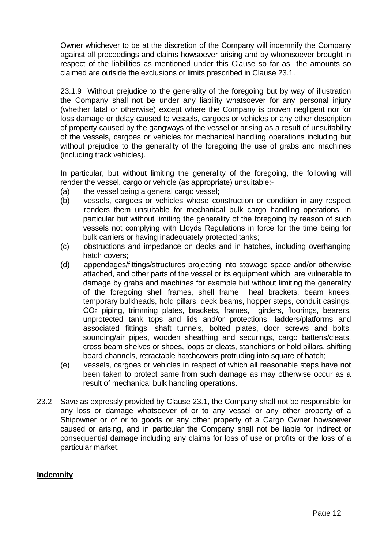Owner whichever to be at the discretion of the Company will indemnify the Company against all proceedings and claims howsoever arising and by whomsoever brought in respect of the liabilities as mentioned under this Clause so far as the amounts so claimed are outside the exclusions or limits prescribed in Clause 23.1.

23.1.9 Without prejudice to the generality of the foregoing but by way of illustration the Company shall not be under any liability whatsoever for any personal injury (whether fatal or otherwise) except where the Company is proven negligent nor for loss damage or delay caused to vessels, cargoes or vehicles or any other description of property caused by the gangways of the vessel or arising as a result of unsuitability of the vessels, cargoes or vehicles for mechanical handling operations including but without prejudice to the generality of the foregoing the use of grabs and machines (including track vehicles).

In particular, but without limiting the generality of the foregoing, the following will render the vessel, cargo or vehicle (as appropriate) unsuitable:-

- (a) the vessel being a general cargo vessel:
- (b) vessels, cargoes or vehicles whose construction or condition in any respect renders them unsuitable for mechanical bulk cargo handling operations, in particular but without limiting the generality of the foregoing by reason of such vessels not complying with Lloyds Regulations in force for the time being for bulk carriers or having inadequately protected tanks;
- (c) obstructions and impedance on decks and in hatches, including overhanging hatch covers;
- (d) appendages/fittings/structures projecting into stowage space and/or otherwise attached, and other parts of the vessel or its equipment which are vulnerable to damage by grabs and machines for example but without limiting the generality of the foregoing shell frames, shell frame heal brackets, beam knees, temporary bulkheads, hold pillars, deck beams, hopper steps, conduit casings, CO<sup>2</sup> piping, trimming plates, brackets, frames, girders, floorings, bearers, unprotected tank tops and lids and/or protections, ladders/platforms and associated fittings, shaft tunnels, bolted plates, door screws and bolts, sounding/air pipes, wooden sheathing and securings, cargo battens/cleats, cross beam shelves or shoes, loops or cleats, stanchions or hold pillars, shifting board channels, retractable hatchcovers protruding into square of hatch;
- (e) vessels, cargoes or vehicles in respect of which all reasonable steps have not been taken to protect same from such damage as may otherwise occur as a result of mechanical bulk handling operations.
- 23.2 Save as expressly provided by Clause 23.1, the Company shall not be responsible for any loss or damage whatsoever of or to any vessel or any other property of a Shipowner or of or to goods or any other property of a Cargo Owner howsoever caused or arising, and in particular the Company shall not be liable for indirect or consequential damage including any claims for loss of use or profits or the loss of a particular market.

# **Indemnity**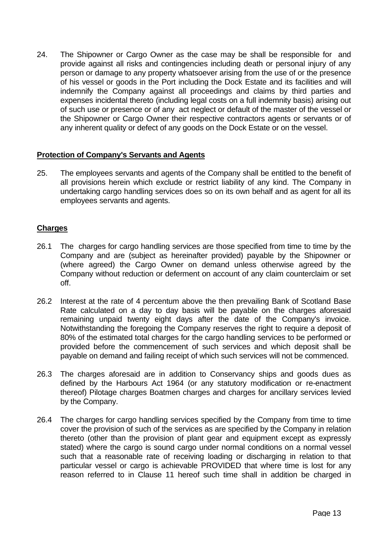24. The Shipowner or Cargo Owner as the case may be shall be responsible for and provide against all risks and contingencies including death or personal injury of any person or damage to any property whatsoever arising from the use of or the presence of his vessel or goods in the Port including the Dock Estate and its facilities and will indemnify the Company against all proceedings and claims by third parties and expenses incidental thereto (including legal costs on a full indemnity basis) arising out of such use or presence or of any act neglect or default of the master of the vessel or the Shipowner or Cargo Owner their respective contractors agents or servants or of any inherent quality or defect of any goods on the Dock Estate or on the vessel.

# **Protection of Company's Servants and Agents**

25. The employees servants and agents of the Company shall be entitled to the benefit of all provisions herein which exclude or restrict liability of any kind. The Company in undertaking cargo handling services does so on its own behalf and as agent for all its employees servants and agents.

#### **Charges**

- 26.1 The charges for cargo handling services are those specified from time to time by the Company and are (subject as hereinafter provided) payable by the Shipowner or (where agreed) the Cargo Owner on demand unless otherwise agreed by the Company without reduction or deferment on account of any claim counterclaim or set off.
- 26.2 Interest at the rate of 4 percentum above the then prevailing Bank of Scotland Base Rate calculated on a day to day basis will be payable on the charges aforesaid remaining unpaid twenty eight days after the date of the Company's invoice. Notwithstanding the foregoing the Company reserves the right to require a deposit of 80% of the estimated total charges for the cargo handling services to be performed or provided before the commencement of such services and which deposit shall be payable on demand and failing receipt of which such services will not be commenced.
- 26.3 The charges aforesaid are in addition to Conservancy ships and goods dues as defined by the Harbours Act 1964 (or any statutory modification or re-enactment thereof) Pilotage charges Boatmen charges and charges for ancillary services levied by the Company.
- 26.4 The charges for cargo handling services specified by the Company from time to time cover the provision of such of the services as are specified by the Company in relation thereto (other than the provision of plant gear and equipment except as expressly stated) where the cargo is sound cargo under normal conditions on a normal vessel such that a reasonable rate of receiving loading or discharging in relation to that particular vessel or cargo is achievable PROVIDED that where time is lost for any reason referred to in Clause 11 hereof such time shall in addition be charged in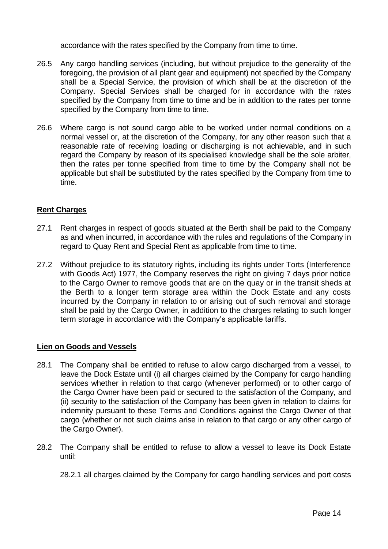accordance with the rates specified by the Company from time to time.

- 26.5 Any cargo handling services (including, but without prejudice to the generality of the foregoing, the provision of all plant gear and equipment) not specified by the Company shall be a Special Service, the provision of which shall be at the discretion of the Company. Special Services shall be charged for in accordance with the rates specified by the Company from time to time and be in addition to the rates per tonne specified by the Company from time to time.
- 26.6 Where cargo is not sound cargo able to be worked under normal conditions on a normal vessel or, at the discretion of the Company, for any other reason such that a reasonable rate of receiving loading or discharging is not achievable, and in such regard the Company by reason of its specialised knowledge shall be the sole arbiter, then the rates per tonne specified from time to time by the Company shall not be applicable but shall be substituted by the rates specified by the Company from time to time.

# **Rent Charges**

- 27.1 Rent charges in respect of goods situated at the Berth shall be paid to the Company as and when incurred, in accordance with the rules and regulations of the Company in regard to Quay Rent and Special Rent as applicable from time to time.
- 27.2 Without prejudice to its statutory rights, including its rights under Torts (Interference with Goods Act) 1977, the Company reserves the right on giving 7 days prior notice to the Cargo Owner to remove goods that are on the quay or in the transit sheds at the Berth to a longer term storage area within the Dock Estate and any costs incurred by the Company in relation to or arising out of such removal and storage shall be paid by the Cargo Owner, in addition to the charges relating to such longer term storage in accordance with the Company's applicable tariffs.

# **Lien on Goods and Vessels**

- 28.1 The Company shall be entitled to refuse to allow cargo discharged from a vessel, to leave the Dock Estate until (i) all charges claimed by the Company for cargo handling services whether in relation to that cargo (whenever performed) or to other cargo of the Cargo Owner have been paid or secured to the satisfaction of the Company, and (ii) security to the satisfaction of the Company has been given in relation to claims for indemnity pursuant to these Terms and Conditions against the Cargo Owner of that cargo (whether or not such claims arise in relation to that cargo or any other cargo of the Cargo Owner).
- 28.2 The Company shall be entitled to refuse to allow a vessel to leave its Dock Estate until:

28.2.1 all charges claimed by the Company for cargo handling services and port costs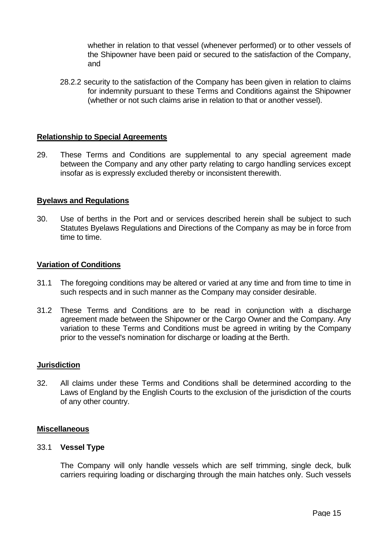whether in relation to that vessel (whenever performed) or to other vessels of the Shipowner have been paid or secured to the satisfaction of the Company, and

28.2.2 security to the satisfaction of the Company has been given in relation to claims for indemnity pursuant to these Terms and Conditions against the Shipowner (whether or not such claims arise in relation to that or another vessel).

### **Relationship to Special Agreements**

29. These Terms and Conditions are supplemental to any special agreement made between the Company and any other party relating to cargo handling services except insofar as is expressly excluded thereby or inconsistent therewith.

#### **Byelaws and Regulations**

30. Use of berths in the Port and or services described herein shall be subject to such Statutes Byelaws Regulations and Directions of the Company as may be in force from time to time.

### **Variation of Conditions**

- 31.1 The foregoing conditions may be altered or varied at any time and from time to time in such respects and in such manner as the Company may consider desirable.
- 31.2 These Terms and Conditions are to be read in conjunction with a discharge agreement made between the Shipowner or the Cargo Owner and the Company. Any variation to these Terms and Conditions must be agreed in writing by the Company prior to the vessel's nomination for discharge or loading at the Berth.

#### **Jurisdiction**

32. All claims under these Terms and Conditions shall be determined according to the Laws of England by the English Courts to the exclusion of the jurisdiction of the courts of any other country.

#### **Miscellaneous**

#### 33.1 **Vessel Type**

The Company will only handle vessels which are self trimming, single deck, bulk carriers requiring loading or discharging through the main hatches only. Such vessels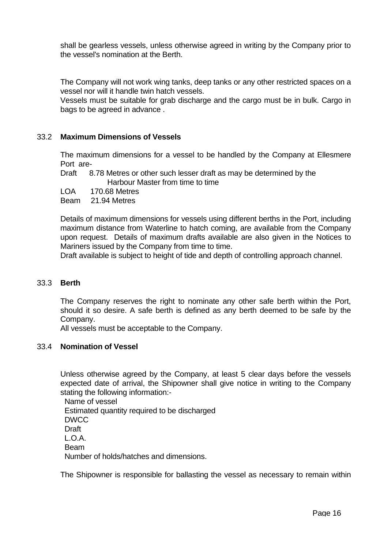shall be gearless vessels, unless otherwise agreed in writing by the Company prior to the vessel's nomination at the Berth.

The Company will not work wing tanks, deep tanks or any other restricted spaces on a vessel nor will it handle twin hatch vessels.

Vessels must be suitable for grab discharge and the cargo must be in bulk. Cargo in bags to be agreed in advance .

## 33.2 **Maximum Dimensions of Vessels**

The maximum dimensions for a vessel to be handled by the Company at Ellesmere Port are-

 Draft 8.78 Metres or other such lesser draft as may be determined by the Harbour Master from time to time

LOA 170.68 Metres

Beam 21.94 Metres

Details of maximum dimensions for vessels using different berths in the Port, including maximum distance from Waterline to hatch coming, are available from the Company upon request. Details of maximum drafts available are also given in the Notices to Mariners issued by the Company from time to time.

Draft available is subject to height of tide and depth of controlling approach channel.

## 33.3 **Berth**

The Company reserves the right to nominate any other safe berth within the Port, should it so desire. A safe berth is defined as any berth deemed to be safe by the Company.

All vessels must be acceptable to the Company.

## 33.4 **Nomination of Vessel**

Unless otherwise agreed by the Company, at least 5 clear days before the vessels expected date of arrival, the Shipowner shall give notice in writing to the Company stating the following information:-

 Name of vessel Estimated quantity required to be discharged DWCC Draft L.O.A. Beam Number of holds/hatches and dimensions.

The Shipowner is responsible for ballasting the vessel as necessary to remain within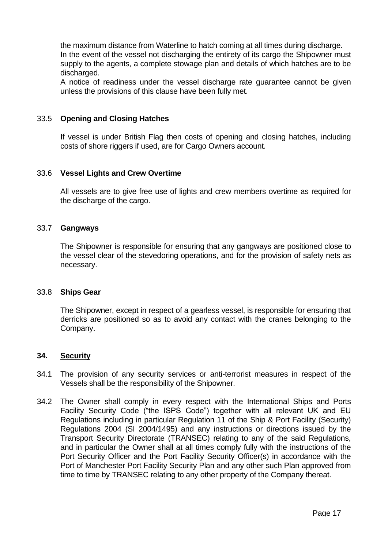the maximum distance from Waterline to hatch coming at all times during discharge. In the event of the vessel not discharging the entirety of its cargo the Shipowner must supply to the agents, a complete stowage plan and details of which hatches are to be discharged.

A notice of readiness under the vessel discharge rate guarantee cannot be given unless the provisions of this clause have been fully met.

## 33.5 **Opening and Closing Hatches**

If vessel is under British Flag then costs of opening and closing hatches, including costs of shore riggers if used, are for Cargo Owners account.

### 33.6 **Vessel Lights and Crew Overtime**

All vessels are to give free use of lights and crew members overtime as required for the discharge of the cargo.

#### 33.7 **Gangways**

The Shipowner is responsible for ensuring that any gangways are positioned close to the vessel clear of the stevedoring operations, and for the provision of safety nets as necessary.

#### 33.8 **Ships Gear**

The Shipowner, except in respect of a gearless vessel, is responsible for ensuring that derricks are positioned so as to avoid any contact with the cranes belonging to the Company.

#### **34. Security**

- 34.1 The provision of any security services or anti-terrorist measures in respect of the Vessels shall be the responsibility of the Shipowner.
- 34.2 The Owner shall comply in every respect with the International Ships and Ports Facility Security Code ("the ISPS Code") together with all relevant UK and EU Regulations including in particular Regulation 11 of the Ship & Port Facility (Security) Regulations 2004 (SI 2004/1495) and any instructions or directions issued by the Transport Security Directorate (TRANSEC) relating to any of the said Regulations, and in particular the Owner shall at all times comply fully with the instructions of the Port Security Officer and the Port Facility Security Officer(s) in accordance with the Port of Manchester Port Facility Security Plan and any other such Plan approved from time to time by TRANSEC relating to any other property of the Company thereat.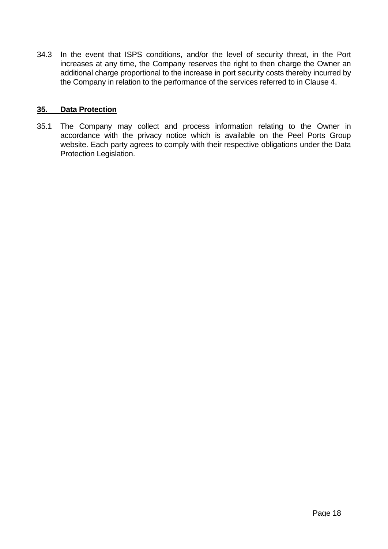34.3 In the event that ISPS conditions, and/or the level of security threat, in the Port increases at any time, the Company reserves the right to then charge the Owner an additional charge proportional to the increase in port security costs thereby incurred by the Company in relation to the performance of the services referred to in Clause 4.

# **35. Data Protection**

35.1 The Company may collect and process information relating to the Owner in accordance with the privacy notice which is available on the Peel Ports Group website. Each party agrees to comply with their respective obligations under the Data Protection Legislation.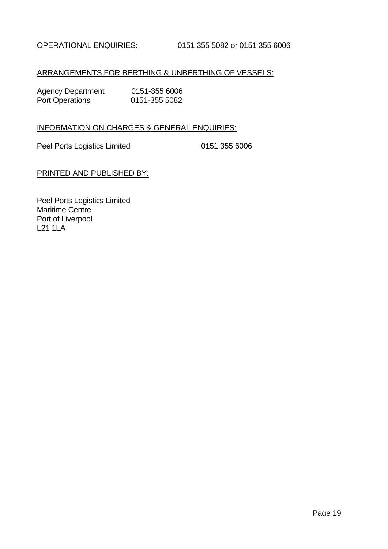# ARRANGEMENTS FOR BERTHING & UNBERTHING OF VESSELS:

| <b>Agency Department</b> | 0151-355 6006 |
|--------------------------|---------------|
| <b>Port Operations</b>   | 0151-355 5082 |

# INFORMATION ON CHARGES & GENERAL ENQUIRIES:

Peel Ports Logistics Limited 0151 355 6006

PRINTED AND PUBLISHED BY:

Peel Ports Logistics Limited Maritime Centre Port of Liverpool L21 1LA